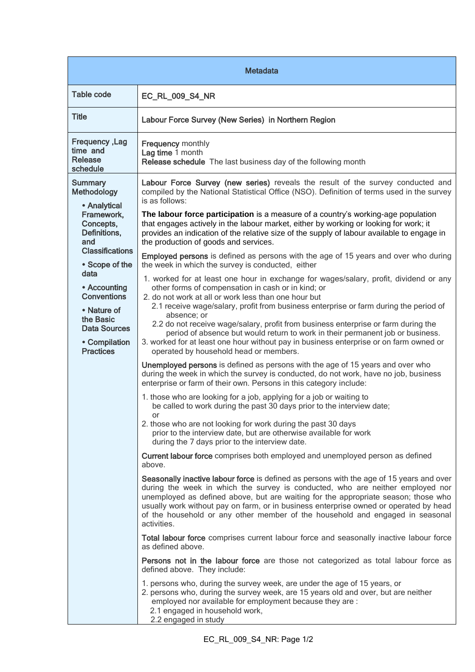| <b>Metadata</b>                                                                                                                                                                                                                                                                   |                                                                                                                                                                                                                                                                                                                                                                                                                                                                                                                                                                                                                                                                                                                                                                                                                                                                                                                                                                                                                                                                                                                                                                                                                                                                                                                                                                                                                                                                                                                                                                                                                                                                                                                                                                                                                                                                                                                                                                                                                                                                                                                                                                                                                                                                                                                                                                                                                                                                                                                                                                                                                                                                                                                                                                             |  |
|-----------------------------------------------------------------------------------------------------------------------------------------------------------------------------------------------------------------------------------------------------------------------------------|-----------------------------------------------------------------------------------------------------------------------------------------------------------------------------------------------------------------------------------------------------------------------------------------------------------------------------------------------------------------------------------------------------------------------------------------------------------------------------------------------------------------------------------------------------------------------------------------------------------------------------------------------------------------------------------------------------------------------------------------------------------------------------------------------------------------------------------------------------------------------------------------------------------------------------------------------------------------------------------------------------------------------------------------------------------------------------------------------------------------------------------------------------------------------------------------------------------------------------------------------------------------------------------------------------------------------------------------------------------------------------------------------------------------------------------------------------------------------------------------------------------------------------------------------------------------------------------------------------------------------------------------------------------------------------------------------------------------------------------------------------------------------------------------------------------------------------------------------------------------------------------------------------------------------------------------------------------------------------------------------------------------------------------------------------------------------------------------------------------------------------------------------------------------------------------------------------------------------------------------------------------------------------------------------------------------------------------------------------------------------------------------------------------------------------------------------------------------------------------------------------------------------------------------------------------------------------------------------------------------------------------------------------------------------------------------------------------------------------------------------------------------------------|--|
| <b>Table code</b>                                                                                                                                                                                                                                                                 | <b>EC_RL_009_S4_NR</b>                                                                                                                                                                                                                                                                                                                                                                                                                                                                                                                                                                                                                                                                                                                                                                                                                                                                                                                                                                                                                                                                                                                                                                                                                                                                                                                                                                                                                                                                                                                                                                                                                                                                                                                                                                                                                                                                                                                                                                                                                                                                                                                                                                                                                                                                                                                                                                                                                                                                                                                                                                                                                                                                                                                                                      |  |
| <b>Title</b>                                                                                                                                                                                                                                                                      | Labour Force Survey (New Series) in Northern Region                                                                                                                                                                                                                                                                                                                                                                                                                                                                                                                                                                                                                                                                                                                                                                                                                                                                                                                                                                                                                                                                                                                                                                                                                                                                                                                                                                                                                                                                                                                                                                                                                                                                                                                                                                                                                                                                                                                                                                                                                                                                                                                                                                                                                                                                                                                                                                                                                                                                                                                                                                                                                                                                                                                         |  |
| Frequency, Lag<br>time and<br>Release<br>schedule                                                                                                                                                                                                                                 | <b>Frequency monthly</b><br>Lag time 1 month<br>Release schedule The last business day of the following month                                                                                                                                                                                                                                                                                                                                                                                                                                                                                                                                                                                                                                                                                                                                                                                                                                                                                                                                                                                                                                                                                                                                                                                                                                                                                                                                                                                                                                                                                                                                                                                                                                                                                                                                                                                                                                                                                                                                                                                                                                                                                                                                                                                                                                                                                                                                                                                                                                                                                                                                                                                                                                                               |  |
| <b>Summary</b><br>Methodology<br>• Analytical<br>Framework,<br>Concepts,<br>Definitions,<br>and<br><b>Classifications</b><br>• Scope of the<br>data<br>• Accounting<br><b>Conventions</b><br>• Nature of<br>the Basic<br><b>Data Sources</b><br>• Compilation<br><b>Practices</b> | Labour Force Survey (new series) reveals the result of the survey conducted and<br>compiled by the National Statistical Office (NSO). Definition of terms used in the survey<br>is as follows:<br>The labour force participation is a measure of a country's working-age population<br>that engages actively in the labour market, either by working or looking for work; it<br>provides an indication of the relative size of the supply of labour available to engage in<br>the production of goods and services.<br><b>Employed persons</b> is defined as persons with the age of 15 years and over who during<br>the week in which the survey is conducted, either<br>1. worked for at least one hour in exchange for wages/salary, profit, dividend or any<br>other forms of compensation in cash or in kind; or<br>2. do not work at all or work less than one hour but<br>2.1 receive wage/salary, profit from business enterprise or farm during the period of<br>absence; or<br>2.2 do not receive wage/salary, profit from business enterprise or farm during the<br>period of absence but would return to work in their permanent job or business.<br>3. worked for at least one hour without pay in business enterprise or on farm owned or<br>operated by household head or members.<br>Unemployed persons is defined as persons with the age of 15 years and over who<br>during the week in which the survey is conducted, do not work, have no job, business<br>enterprise or farm of their own. Persons in this category include:<br>1. those who are looking for a job, applying for a job or waiting to<br>be called to work during the past 30 days prior to the interview date;<br>or<br>2. those who are not looking for work during the past 30 days<br>prior to the interview date, but are otherwise available for work<br>during the 7 days prior to the interview date.<br>Current labour force comprises both employed and unemployed person as defined<br>above.<br>Seasonally inactive labour force is defined as persons with the age of 15 years and over<br>during the week in which the survey is conducted, who are neither employed nor<br>unemployed as defined above, but are waiting for the appropriate season; those who<br>usually work without pay on farm, or in business enterprise owned or operated by head<br>of the household or any other member of the household and engaged in seasonal<br>activities.<br>Total labour force comprises current labour force and seasonally inactive labour force<br>as defined above.<br>Persons not in the labour force are those not categorized as total labour force as<br>defined above. They include:<br>1. persons who, during the survey week, are under the age of 15 years, or |  |
|                                                                                                                                                                                                                                                                                   | 2. persons who, during the survey week, are 15 years old and over, but are neither<br>employed nor available for employment because they are :<br>2.1 engaged in household work,<br>2.2 engaged in study                                                                                                                                                                                                                                                                                                                                                                                                                                                                                                                                                                                                                                                                                                                                                                                                                                                                                                                                                                                                                                                                                                                                                                                                                                                                                                                                                                                                                                                                                                                                                                                                                                                                                                                                                                                                                                                                                                                                                                                                                                                                                                                                                                                                                                                                                                                                                                                                                                                                                                                                                                    |  |